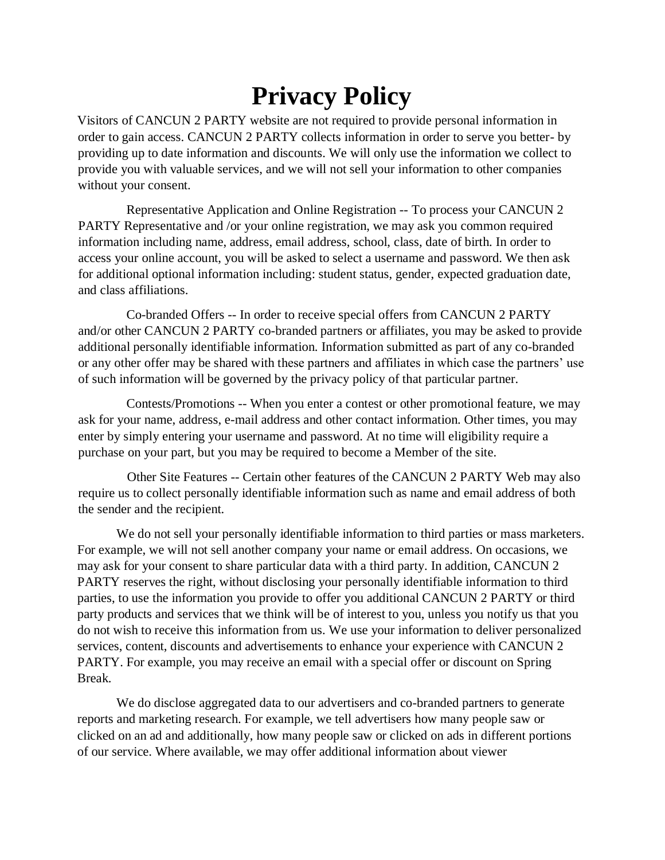## **Privacy Policy**

Visitors of CANCUN 2 PARTY website are not required to provide personal information in order to gain access. CANCUN 2 PARTY collects information in order to serve you better- by providing up to date information and discounts. We will only use the information we collect to provide you with valuable services, and we will not sell your information to other companies without your consent.

 Representative Application and Online Registration -- To process your CANCUN 2 PARTY Representative and /or your online registration, we may ask you common required information including name, address, email address, school, class, date of birth. In order to access your online account, you will be asked to select a username and password. We then ask for additional optional information including: student status, gender, expected graduation date, and class affiliations.

 Co-branded Offers -- In order to receive special offers from CANCUN 2 PARTY and/or other CANCUN 2 PARTY co-branded partners or affiliates, you may be asked to provide additional personally identifiable information. Information submitted as part of any co-branded or any other offer may be shared with these partners and affiliates in which case the partners' use of such information will be governed by the privacy policy of that particular partner.

 Contests/Promotions -- When you enter a contest or other promotional feature, we may ask for your name, address, e-mail address and other contact information. Other times, you may enter by simply entering your username and password. At no time will eligibility require a purchase on your part, but you may be required to become a Member of the site.

 Other Site Features -- Certain other features of the CANCUN 2 PARTY Web may also require us to collect personally identifiable information such as name and email address of both the sender and the recipient.

We do not sell your personally identifiable information to third parties or mass marketers. For example, we will not sell another company your name or email address. On occasions, we may ask for your consent to share particular data with a third party. In addition, CANCUN 2 PARTY reserves the right, without disclosing your personally identifiable information to third parties, to use the information you provide to offer you additional CANCUN 2 PARTY or third party products and services that we think will be of interest to you, unless you notify us that you do not wish to receive this information from us. We use your information to deliver personalized services, content, discounts and advertisements to enhance your experience with CANCUN 2 PARTY. For example, you may receive an email with a special offer or discount on Spring Break.

We do disclose aggregated data to our advertisers and co-branded partners to generate reports and marketing research. For example, we tell advertisers how many people saw or clicked on an ad and additionally, how many people saw or clicked on ads in different portions of our service. Where available, we may offer additional information about viewer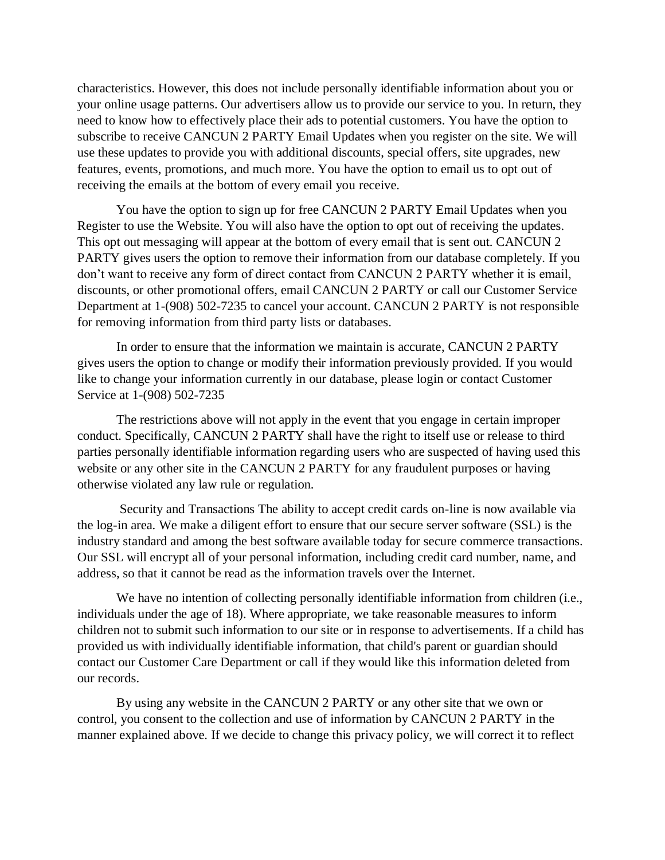characteristics. However, this does not include personally identifiable information about you or your online usage patterns. Our advertisers allow us to provide our service to you. In return, they need to know how to effectively place their ads to potential customers. You have the option to subscribe to receive CANCUN 2 PARTY Email Updates when you register on the site. We will use these updates to provide you with additional discounts, special offers, site upgrades, new features, events, promotions, and much more. You have the option to email us to opt out of receiving the emails at the bottom of every email you receive.

You have the option to sign up for free CANCUN 2 PARTY Email Updates when you Register to use the Website. You will also have the option to opt out of receiving the updates. This opt out messaging will appear at the bottom of every email that is sent out. CANCUN 2 PARTY gives users the option to remove their information from our database completely. If you don't want to receive any form of direct contact from CANCUN 2 PARTY whether it is email, discounts, or other promotional offers, email CANCUN 2 PARTY or call our Customer Service Department at 1-(908) 502-7235 to cancel your account. CANCUN 2 PARTY is not responsible for removing information from third party lists or databases.

In order to ensure that the information we maintain is accurate, CANCUN 2 PARTY gives users the option to change or modify their information previously provided. If you would like to change your information currently in our database, please login or contact Customer Service at 1-(908) 502-7235

The restrictions above will not apply in the event that you engage in certain improper conduct. Specifically, CANCUN 2 PARTY shall have the right to itself use or release to third parties personally identifiable information regarding users who are suspected of having used this website or any other site in the CANCUN 2 PARTY for any fraudulent purposes or having otherwise violated any law rule or regulation.

Security and Transactions The ability to accept credit cards on-line is now available via the log-in area. We make a diligent effort to ensure that our secure server software (SSL) is the industry standard and among the best software available today for secure commerce transactions. Our SSL will encrypt all of your personal information, including credit card number, name, and address, so that it cannot be read as the information travels over the Internet.

We have no intention of collecting personally identifiable information from children (i.e., individuals under the age of 18). Where appropriate, we take reasonable measures to inform children not to submit such information to our site or in response to advertisements. If a child has provided us with individually identifiable information, that child's parent or guardian should contact our Customer Care Department or call if they would like this information deleted from our records.

By using any website in the CANCUN 2 PARTY or any other site that we own or control, you consent to the collection and use of information by CANCUN 2 PARTY in the manner explained above. If we decide to change this privacy policy, we will correct it to reflect